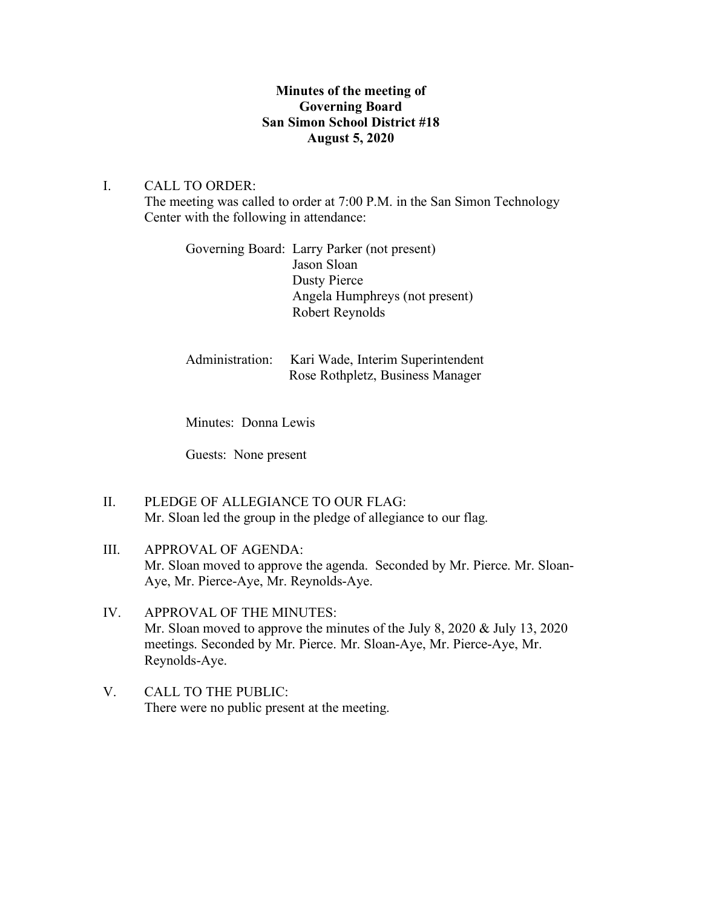## **Minutes of the meeting of Governing Board San Simon School District #18 August 5, 2020**

## I. CALL TO ORDER:

The meeting was called to order at 7:00 P.M. in the San Simon Technology Center with the following in attendance:

| Governing Board: Larry Parker (not present) |
|---------------------------------------------|
| Jason Sloan                                 |
| Dusty Pierce                                |
| Angela Humphreys (not present)              |
| Robert Reynolds                             |
|                                             |

| Administration: Kari Wade, Interim Superintendent |
|---------------------------------------------------|
| Rose Rothpletz, Business Manager                  |

Minutes: Donna Lewis

Guests: None present

II. PLEDGE OF ALLEGIANCE TO OUR FLAG: Mr. Sloan led the group in the pledge of allegiance to our flag.

# III. APPROVAL OF AGENDA: Mr. Sloan moved to approve the agenda. Seconded by Mr. Pierce. Mr. Sloan-Aye, Mr. Pierce-Aye, Mr. Reynolds-Aye.

- IV. APPROVAL OF THE MINUTES: Mr. Sloan moved to approve the minutes of the July 8, 2020 & July 13, 2020 meetings. Seconded by Mr. Pierce. Mr. Sloan-Aye, Mr. Pierce-Aye, Mr. Reynolds-Aye.
- V. CALL TO THE PUBLIC: There were no public present at the meeting.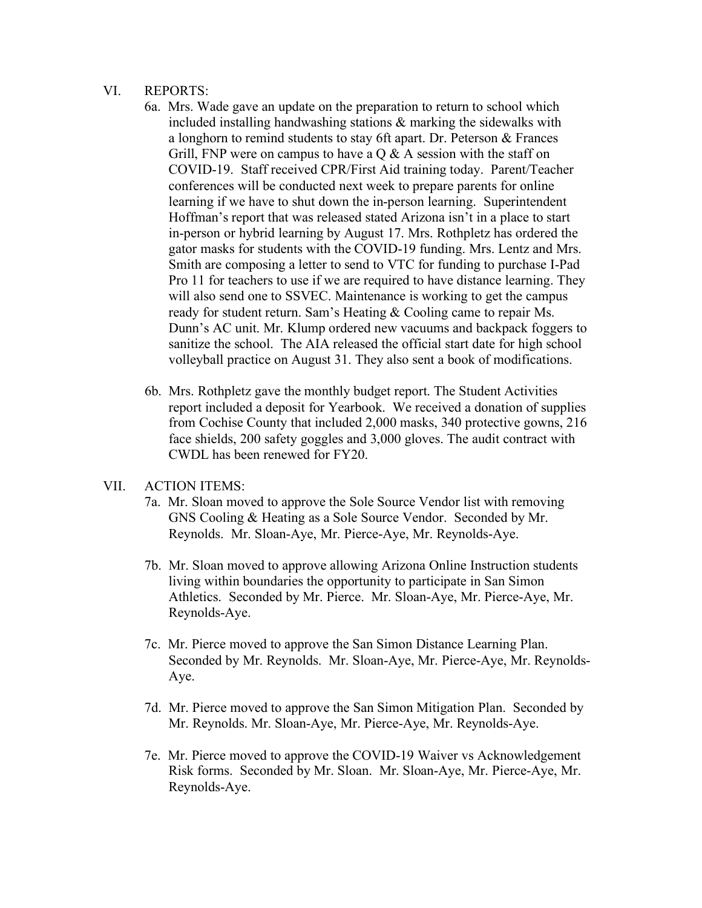#### VI. REPORTS:

- 6a. Mrs. Wade gave an update on the preparation to return to school which included installing handwashing stations  $\&$  marking the sidewalks with a longhorn to remind students to stay 6ft apart. Dr. Peterson & Frances Grill, FNP were on campus to have a  $\overline{O}$  & A session with the staff on COVID-19. Staff received CPR/First Aid training today. Parent/Teacher conferences will be conducted next week to prepare parents for online learning if we have to shut down the in-person learning. Superintendent Hoffman's report that was released stated Arizona isn't in a place to start in-person or hybrid learning by August 17. Mrs. Rothpletz has ordered the gator masks for students with the COVID-19 funding. Mrs. Lentz and Mrs. Smith are composing a letter to send to VTC for funding to purchase I-Pad Pro 11 for teachers to use if we are required to have distance learning. They will also send one to SSVEC. Maintenance is working to get the campus ready for student return. Sam's Heating & Cooling came to repair Ms. Dunn's AC unit. Mr. Klump ordered new vacuums and backpack foggers to sanitize the school. The AIA released the official start date for high school volleyball practice on August 31. They also sent a book of modifications.
- 6b. Mrs. Rothpletz gave the monthly budget report. The Student Activities report included a deposit for Yearbook. We received a donation of supplies from Cochise County that included 2,000 masks, 340 protective gowns, 216 face shields, 200 safety goggles and 3,000 gloves. The audit contract with CWDL has been renewed for FY20.

### VII. ACTION ITEMS:

- 7a. Mr. Sloan moved to approve the Sole Source Vendor list with removing GNS Cooling & Heating as a Sole Source Vendor. Seconded by Mr. Reynolds. Mr. Sloan-Aye, Mr. Pierce-Aye, Mr. Reynolds-Aye.
- 7b. Mr. Sloan moved to approve allowing Arizona Online Instruction students living within boundaries the opportunity to participate in San Simon Athletics. Seconded by Mr. Pierce. Mr. Sloan-Aye, Mr. Pierce-Aye, Mr. Reynolds-Aye.
- 7c. Mr. Pierce moved to approve the San Simon Distance Learning Plan. Seconded by Mr. Reynolds. Mr. Sloan-Aye, Mr. Pierce-Aye, Mr. Reynolds- Aye.
- 7d. Mr. Pierce moved to approve the San Simon Mitigation Plan. Seconded by Mr. Reynolds. Mr. Sloan-Aye, Mr. Pierce-Aye, Mr. Reynolds-Aye.
- 7e. Mr. Pierce moved to approve the COVID-19 Waiver vs Acknowledgement Risk forms. Seconded by Mr. Sloan. Mr. Sloan-Aye, Mr. Pierce-Aye, Mr. Reynolds-Aye.